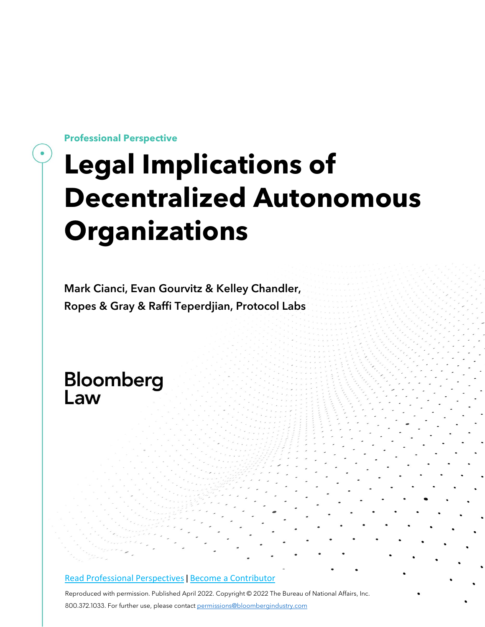**Professional Perspective**

## **Legal Implications of Decentralized Autonomous Organizations**

Mark Cianci, Evan Gourvitz & Kelley Chandler, Ropes & Gray & Raffi Teperdjian, Protocol Labs

# Bloomberg<br>Law

#### [Read Professional Perspectives](https://www.bloomberglaw.com/product/blaw/search/results/fce5c55b80fd6db95984633eb48fa7d5?utm_source=ACQ&utm_medium=PRP) [|](https://www.bloomberglaw.com/product/blaw/search/results/fce5c55b80fd6db95984633eb48fa7d5?utm_source=ACQ&utm_medium=PRP) [Become a Contributor](https://pro.bloomberglaw.com/become-a-contributor/?utm_source=ACQ&utm_medium=PRP)

Reproduced with permission. Published April 2022. Copyright © 2022 The Bureau of National Affairs, Inc. 800.372.1033. For further use, please contac[t permissions@bloombergindustry.com](mailto:permissions@bloombergindustry.com)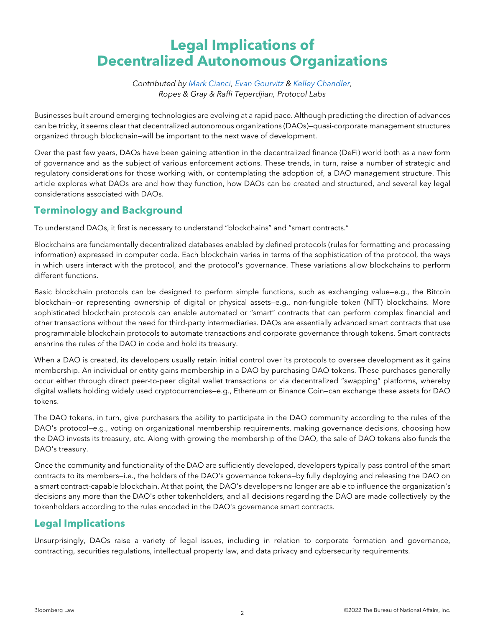### **Legal Implications of Decentralized Autonomous Organizations**

*Contributed by [Mark Cianci,](https://www.ropesgray.com/en/biographies/c/mark-cianci) [Evan Gourvitz](https://www.ropesgray.com/en/biographies/g/Gourvitz-Evan) & [Kelley Chandler,](https://www.ropesgray.com/en/biographies/c/Kelley-Chandler) Ropes & Gray & Raffi Teperdjian, Protocol Labs*

Businesses built around emerging technologies are evolving at a rapid pace. Although predicting the direction of advances can be tricky, it seems clear that decentralized autonomous organizations (DAOs)—quasi-corporate management structures organized through blockchain—will be important to the next wave of development.

Over the past few years, DAOs have been gaining attention in the decentralized finance (DeFi) world both as a new form of governance and as the subject of various enforcement actions. These trends, in turn, raise a number of strategic and regulatory considerations for those working with, or contemplating the adoption of, a DAO management structure. This article explores what DAOs are and how they function, how DAOs can be created and structured, and several key legal considerations associated with DAOs.

#### **Terminology and Background**

To understand DAOs, it first is necessary to understand "blockchains" and "smart contracts."

Blockchains are fundamentally decentralized databases enabled by defined protocols (rules for formatting and processing information) expressed in computer code. Each blockchain varies in terms of the sophistication of the protocol, the ways in which users interact with the protocol, and the protocol's governance. These variations allow blockchains to perform different functions.

Basic blockchain protocols can be designed to perform simple functions, such as exchanging value—e.g., the Bitcoin blockchain—or representing ownership of digital or physical assets—e.g., non-fungible token (NFT) blockchains. More sophisticated blockchain protocols can enable automated or "smart" contracts that can perform complex financial and other transactions without the need for third-party intermediaries. DAOs are essentially advanced smart contracts that use programmable blockchain protocols to automate transactions and corporate governance through tokens. Smart contracts enshrine the rules of the DAO in code and hold its treasury.

When a DAO is created, its developers usually retain initial control over its protocols to oversee development as it gains membership. An individual or entity gains membership in a DAO by purchasing DAO tokens. These purchases generally occur either through direct peer-to-peer digital wallet transactions or via decentralized "swapping" platforms, whereby digital wallets holding widely used cryptocurrencies—e.g., Ethereum or Binance Coin—can exchange these assets for DAO tokens.

The DAO tokens, in turn, give purchasers the ability to participate in the DAO community according to the rules of the DAO's protocol—e.g., voting on organizational membership requirements, making governance decisions, choosing how the DAO invests its treasury, etc. Along with growing the membership of the DAO, the sale of DAO tokens also funds the DAO's treasury.

Once the community and functionality of the DAO are sufficiently developed, developers typically pass control of the smart contracts to its members—i.e., the holders of the DAO's governance tokens—by fully deploying and releasing the DAO on a smart contract-capable blockchain. At that point, the DAO's developers no longer are able to influence the organization's decisions any more than the DAO's other tokenholders, and all decisions regarding the DAO are made collectively by the tokenholders according to the rules encoded in the DAO's governance smart contracts.

#### **Legal Implications**

Unsurprisingly, DAOs raise a variety of legal issues, including in relation to corporate formation and governance, contracting, securities regulations, intellectual property law, and data privacy and cybersecurity requirements.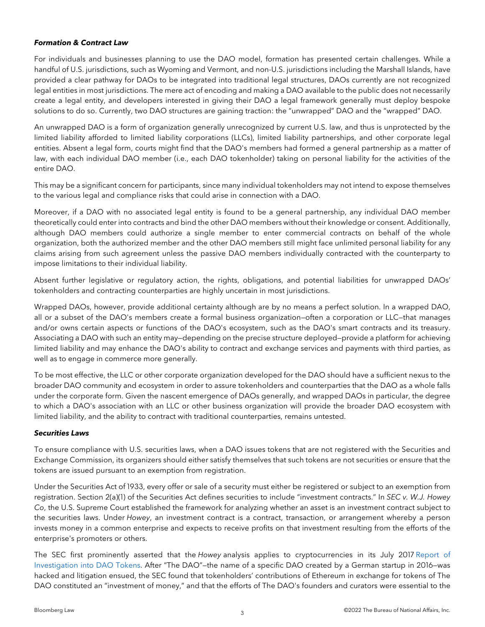#### *Formation & Contract Law*

For individuals and businesses planning to use the DAO model, formation has presented certain challenges. While a handful of U.S. jurisdictions, such as Wyoming and Vermont, and non-U.S. jurisdictions including the Marshall Islands, have provided a clear pathway for DAOs to be integrated into traditional legal structures, DAOs currently are not recognized legal entities in most jurisdictions. The mere act of encoding and making a DAO available to the public does not necessarily create a legal entity, and developers interested in giving their DAO a legal framework generally must deploy bespoke solutions to do so. Currently, two DAO structures are gaining traction: the "unwrapped" DAO and the "wrapped" DAO.

An unwrapped DAO is a form of organization generally unrecognized by current U.S. law, and thus is unprotected by the limited liability afforded to limited liability corporations (LLCs), limited liability partnerships, and other corporate legal entities. Absent a legal form, courts might find that the DAO's members had formed a general partnership as a matter of law, with each individual DAO member (i.e., each DAO tokenholder) taking on personal liability for the activities of the entire DAO.

This may be a significant concern for participants, since many individual tokenholders may not intend to expose themselves to the various legal and compliance risks that could arise in connection with a DAO.

Moreover, if a DAO with no associated legal entity is found to be a general partnership, any individual DAO member theoretically could enter into contracts and bind the other DAO members without their knowledge or consent. Additionally, although DAO members could authorize a single member to enter commercial contracts on behalf of the whole organization, both the authorized member and the other DAO members still might face unlimited personal liability for any claims arising from such agreement unless the passive DAO members individually contracted with the counterparty to impose limitations to their individual liability.

Absent further legislative or regulatory action, the rights, obligations, and potential liabilities for unwrapped DAOs' tokenholders and contracting counterparties are highly uncertain in most jurisdictions.

Wrapped DAOs, however, provide additional certainty although are by no means a perfect solution. In a wrapped DAO, all or a subset of the DAO's members create a formal business organization—often a corporation or LLC—that manages and/or owns certain aspects or functions of the DAO's ecosystem, such as the DAO's smart contracts and its treasury. Associating a DAO with such an entity may—depending on the precise structure deployed—provide a platform for achieving limited liability and may enhance the DAO's ability to contract and exchange services and payments with third parties, as well as to engage in commerce more generally.

To be most effective, the LLC or other corporate organization developed for the DAO should have a sufficient nexus to the broader DAO community and ecosystem in order to assure tokenholders and counterparties that the DAO as a whole falls under the corporate form. Given the nascent emergence of DAOs generally, and wrapped DAOs in particular, the degree to which a DAO's association with an LLC or other business organization will provide the broader DAO ecosystem with limited liability, and the ability to contract with traditional counterparties, remains untested.

#### *Securities Laws*

To ensure compliance with U.S. securities laws, when a DAO issues tokens that are not registered with the Securities and Exchange Commission, its organizers should either satisfy themselves that such tokens are not securities or ensure that the tokens are issued pursuant to an exemption from registration.

Under the Securities Act of 1933, every offer or sale of a security must either be registered or subject to an exemption from registration. Section 2(a)(1) of the Securities Act defines securities to include "investment contracts." In *SEC v. W.J. Howey Co*, the U.S. Supreme Court established the framework for analyzing whether an asset is an investment contract subject to the securities laws. Under *Howey*, an investment contract is a contract, transaction, or arrangement whereby a person invests money in a common enterprise and expects to receive profits on that investment resulting from the efforts of the enterprise's promoters or others.

The SEC first prominently asserted that the *Howey* analysis applies to cryptocurrencies in its July 2017 [Report of](https://www.sec.gov/litigation/investreport/34-81207.pdf)  [Investigation into DAO Tokens.](https://www.sec.gov/litigation/investreport/34-81207.pdf) After "The DAO"—the name of a specific DAO created by a German startup in 2016—was hacked and litigation ensued, the SEC found that tokenholders' contributions of Ethereum in exchange for tokens of The DAO constituted an "investment of money," and that the efforts of The DAO's founders and curators were essential to the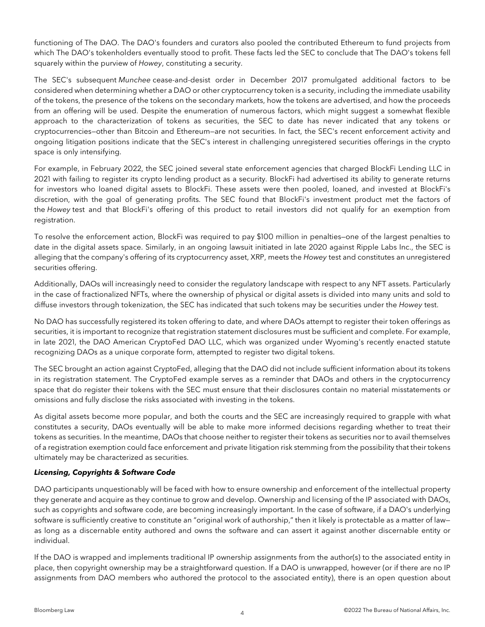functioning of The DAO. The DAO's founders and curators also pooled the contributed Ethereum to fund projects from which The DAO's tokenholders eventually stood to profit. These facts led the SEC to conclude that The DAO's tokens fell squarely within the purview of *Howey*, constituting a security.

The SEC's subsequent *Munchee* cease-and-desist order in December 2017 promulgated additional factors to be considered when determining whether a DAO or other cryptocurrency token is a security, including the immediate usability of the tokens, the presence of the tokens on the secondary markets, how the tokens are advertised, and how the proceeds from an offering will be used. Despite the enumeration of numerous factors, which might suggest a somewhat flexible approach to the characterization of tokens as securities, the SEC to date has never indicated that any tokens or cryptocurrencies—other than Bitcoin and Ethereum—are not securities. In fact, the SEC's recent enforcement activity and ongoing litigation positions indicate that the SEC's interest in challenging unregistered securities offerings in the crypto space is only intensifying.

For example, in February 2022, the SEC joined several state enforcement agencies that charged BlockFi Lending LLC in 2021 with failing to register its crypto lending product as a security. BlockFi had advertised its ability to generate returns for investors who loaned digital assets to BlockFi. These assets were then pooled, loaned, and invested at BlockFi's discretion, with the goal of generating profits. The SEC found that BlockFi's investment product met the factors of the *Howey* test and that BlockFi's offering of this product to retail investors did not qualify for an exemption from registration.

To resolve the enforcement action, BlockFi was required to pay \$100 million in penalties—one of the largest penalties to date in the digital assets space. Similarly, in an ongoing lawsuit initiated in late 2020 against Ripple Labs Inc., the SEC is alleging that the company's offering of its cryptocurrency asset, XRP, meets the *Howey* test and constitutes an unregistered securities offering.

Additionally, DAOs will increasingly need to consider the regulatory landscape with respect to any NFT assets. Particularly in the case of fractionalized NFTs, where the ownership of physical or digital assets is divided into many units and sold to diffuse investors through tokenization, the SEC has indicated that such tokens may be securities under the *Howey* test.

No DAO has successfully registered its token offering to date, and where DAOs attempt to register their token offerings as securities, it is important to recognize that registration statement disclosures must be sufficient and complete. For example, in late 2021, the DAO American CryptoFed DAO LLC, which was organized under Wyoming's recently enacted statute recognizing DAOs as a unique corporate form, attempted to register two digital tokens.

The SEC brought an action against CryptoFed, alleging that the DAO did not include sufficient information about its tokens in its registration statement. The CryptoFed example serves as a reminder that DAOs and others in the cryptocurrency space that do register their tokens with the SEC must ensure that their disclosures contain no material misstatements or omissions and fully disclose the risks associated with investing in the tokens.

As digital assets become more popular, and both the courts and the SEC are increasingly required to grapple with what constitutes a security, DAOs eventually will be able to make more informed decisions regarding whether to treat their tokens as securities. In the meantime, DAOs that choose neither to register their tokens as securities nor to avail themselves of a registration exemption could face enforcement and private litigation risk stemming from the possibility that their tokens ultimately may be characterized as securities.

#### *Licensing, Copyrights & Software Code*

DAO participants unquestionably will be faced with how to ensure ownership and enforcement of the intellectual property they generate and acquire as they continue to grow and develop. Ownership and licensing of the IP associated with DAOs, such as copyrights and software code, are becoming increasingly important. In the case of software, if a DAO's underlying software is sufficiently creative to constitute an "original work of authorship," then it likely is protectable as a matter of lawas long as a discernable entity authored and owns the software and can assert it against another discernable entity or individual.

If the DAO is wrapped and implements traditional IP ownership assignments from the author(s) to the associated entity in place, then copyright ownership may be a straightforward question. If a DAO is unwrapped, however (or if there are no IP assignments from DAO members who authored the protocol to the associated entity), there is an open question about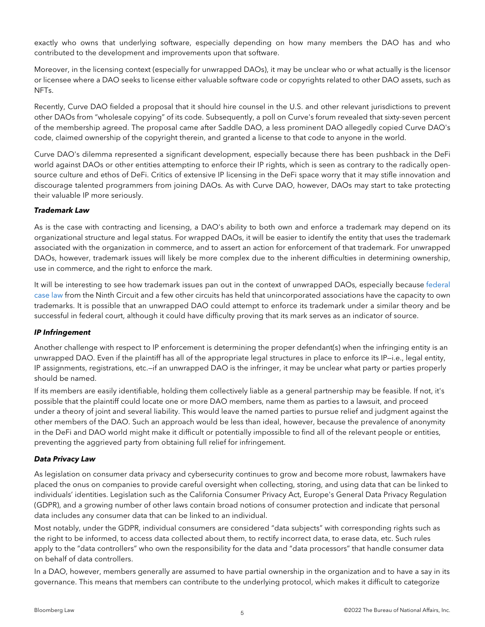exactly who owns that underlying software, especially depending on how many members the DAO has and who contributed to the development and improvements upon that software.

Moreover, in the licensing context (especially for unwrapped DAOs), it may be unclear who or what actually is the licensor or licensee where a DAO seeks to license either valuable software code or copyrights related to other DAO assets, such as NFTs.

Recently, Curve DAO fielded a proposal that it should hire counsel in the U.S. and other relevant jurisdictions to prevent other DAOs from "wholesale copying" of its code. Subsequently, a poll on Curve's forum revealed that sixty-seven percent of the membership agreed. The proposal came after Saddle DAO, a less prominent DAO allegedly copied Curve DAO's code, claimed ownership of the copyright therein, and granted a license to that code to anyone in the world.

Curve DAO's dilemma represented a significant development, especially because there has been pushback in the DeFi world against DAOs or other entities attempting to enforce their IP rights, which is seen as contrary to the radically opensource culture and ethos of DeFi. Critics of extensive IP licensing in the DeFi space worry that it may stifle innovation and discourage talented programmers from joining DAOs. As with Curve DAO, however, DAOs may start to take protecting their valuable IP more seriously.

#### *Trademark Law*

As is the case with contracting and licensing, a DAO's ability to both own and enforce a trademark may depend on its organizational structure and legal status. For wrapped DAOs, it will be easier to identify the entity that uses the trademark associated with the organization in commerce, and to assert an action for enforcement of that trademark. For unwrapped DAOs, however, trademark issues will likely be more complex due to the inherent difficulties in determining ownership, use in commerce, and the right to enforce the mark.

It will be interesting to see how trademark issues pan out in the context of unwrapped DAOs, especially because [federal](https://scholar.google.com/scholar_case?case=5330620099575721251&q=socal+darts&hl=en&as_sdt=2006)  [case law](https://scholar.google.com/scholar_case?case=5330620099575721251&q=socal+darts&hl=en&as_sdt=2006) from the Ninth Circuit and a few other circuits has held that unincorporated associations have the capacity to own trademarks. It is possible that an unwrapped DAO could attempt to enforce its trademark under a similar theory and be successful in federal court, although it could have difficulty proving that its mark serves as an indicator of source.

#### *IP Infringement*

Another challenge with respect to IP enforcement is determining the proper defendant(s) when the infringing entity is an unwrapped DAO. Even if the plaintiff has all of the appropriate legal structures in place to enforce its IP—i.e., legal entity, IP assignments, registrations, etc.—if an unwrapped DAO is the infringer, it may be unclear what party or parties properly should be named.

If its members are easily identifiable, holding them collectively liable as a general partnership may be feasible. If not, it's possible that the plaintiff could locate one or more DAO members, name them as parties to a lawsuit, and proceed under a theory of joint and several liability. This would leave the named parties to pursue relief and judgment against the other members of the DAO. Such an approach would be less than ideal, however, because the prevalence of anonymity in the DeFi and DAO world might make it difficult or potentially impossible to find all of the relevant people or entities, preventing the aggrieved party from obtaining full relief for infringement.

#### *Data Privacy Law*

As legislation on consumer data privacy and cybersecurity continues to grow and become more robust, lawmakers have placed the onus on companies to provide careful oversight when collecting, storing, and using data that can be linked to individuals' identities. Legislation such as the California Consumer Privacy Act, Europe's General Data Privacy Regulation (GDPR), and a growing number of other laws contain broad notions of consumer protection and indicate that personal data includes any consumer data that can be linked to an individual.

Most notably, under the GDPR, individual consumers are considered "data subjects" with corresponding rights such as the right to be informed, to access data collected about them, to rectify incorrect data, to erase data, etc. Such rules apply to the "data controllers" who own the responsibility for the data and "data processors" that handle consumer data on behalf of data controllers.

In a DAO, however, members generally are assumed to have partial ownership in the organization and to have a say in its governance. This means that members can contribute to the underlying protocol, which makes it difficult to categorize